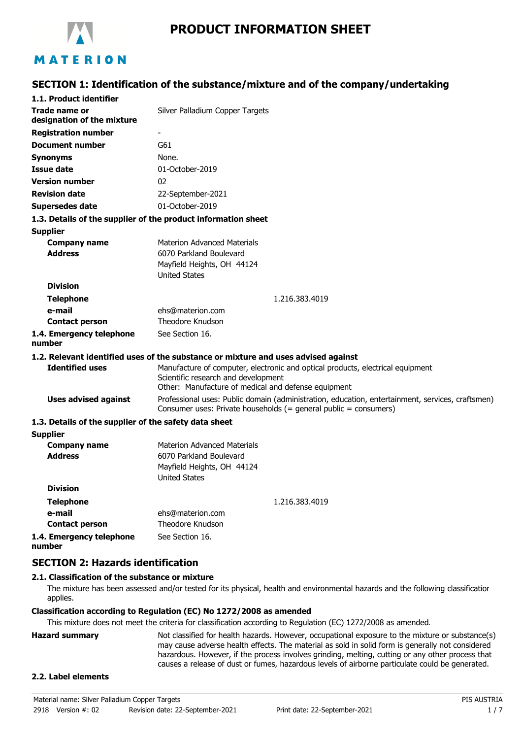

# **PRODUCT INFORMATION SHEET**

# **SECTION 1: Identification of the substance/mixture and of the company/undertaking**

| 1.1. Product identifier                               |                                                                                                                                                                              |  |  |
|-------------------------------------------------------|------------------------------------------------------------------------------------------------------------------------------------------------------------------------------|--|--|
| Trade name or<br>designation of the mixture           | Silver Palladium Copper Targets                                                                                                                                              |  |  |
| <b>Registration number</b>                            |                                                                                                                                                                              |  |  |
| <b>Document number</b>                                | G61                                                                                                                                                                          |  |  |
| <b>Synonyms</b>                                       | None.                                                                                                                                                                        |  |  |
| <b>Issue date</b>                                     | 01-October-2019                                                                                                                                                              |  |  |
| <b>Version number</b>                                 | 02                                                                                                                                                                           |  |  |
| <b>Revision date</b>                                  | 22-September-2021                                                                                                                                                            |  |  |
| Supersedes date                                       | 01-October-2019                                                                                                                                                              |  |  |
|                                                       | 1.3. Details of the supplier of the product information sheet                                                                                                                |  |  |
| <b>Supplier</b>                                       |                                                                                                                                                                              |  |  |
| <b>Company name</b>                                   | <b>Materion Advanced Materials</b>                                                                                                                                           |  |  |
| <b>Address</b>                                        | 6070 Parkland Boulevard                                                                                                                                                      |  |  |
|                                                       | Mayfield Heights, OH 44124                                                                                                                                                   |  |  |
| <b>Division</b>                                       | <b>United States</b>                                                                                                                                                         |  |  |
|                                                       |                                                                                                                                                                              |  |  |
| <b>Telephone</b><br>e-mail                            | 1.216.383.4019<br>ehs@materion.com                                                                                                                                           |  |  |
| <b>Contact person</b>                                 | Theodore Knudson                                                                                                                                                             |  |  |
| 1.4. Emergency telephone<br>number                    | See Section 16.                                                                                                                                                              |  |  |
|                                                       | 1.2. Relevant identified uses of the substance or mixture and uses advised against                                                                                           |  |  |
| <b>Identified uses</b>                                | Manufacture of computer, electronic and optical products, electrical equipment<br>Scientific research and development<br>Other: Manufacture of medical and defense equipment |  |  |
| <b>Uses advised against</b>                           | Professional uses: Public domain (administration, education, entertainment, services, craftsmen)<br>Consumer uses: Private households (= general public = consumers)         |  |  |
| 1.3. Details of the supplier of the safety data sheet |                                                                                                                                                                              |  |  |
| <b>Supplier</b>                                       |                                                                                                                                                                              |  |  |
| <b>Company name</b><br><b>Address</b>                 | <b>Materion Advanced Materials</b><br>6070 Parkland Boulevard<br>Mayfield Heights, OH 44124                                                                                  |  |  |
|                                                       | <b>United States</b>                                                                                                                                                         |  |  |
| <b>Division</b>                                       |                                                                                                                                                                              |  |  |
| <b>Telephone</b>                                      | 1.216.383.4019                                                                                                                                                               |  |  |
| e-mail                                                | ehs@materion.com                                                                                                                                                             |  |  |
| <b>Contact person</b>                                 | Theodore Knudson                                                                                                                                                             |  |  |
| 1.4. Emergency telephone                              | See Section 16.                                                                                                                                                              |  |  |

**number**

# **SECTION 2: Hazards identification**

# **2.1. Classification of the substance or mixture**

The mixture has been assessed and/or tested for its physical, health and environmental hazards and the following classification applies.

#### **Classification according to Regulation (EC) No 1272/2008 as amended**

This mixture does not meet the criteria for classification according to Regulation (EC) 1272/2008 as amended.

**Hazard summary** Not classified for health hazards. However, occupational exposure to the mixture or substance(s) may cause adverse health effects. The material as sold in solid form is generally not considered hazardous. However, if the process involves grinding, melting, cutting or any other process that causes a release of dust or fumes, hazardous levels of airborne particulate could be generated.

#### **2.2. Label elements**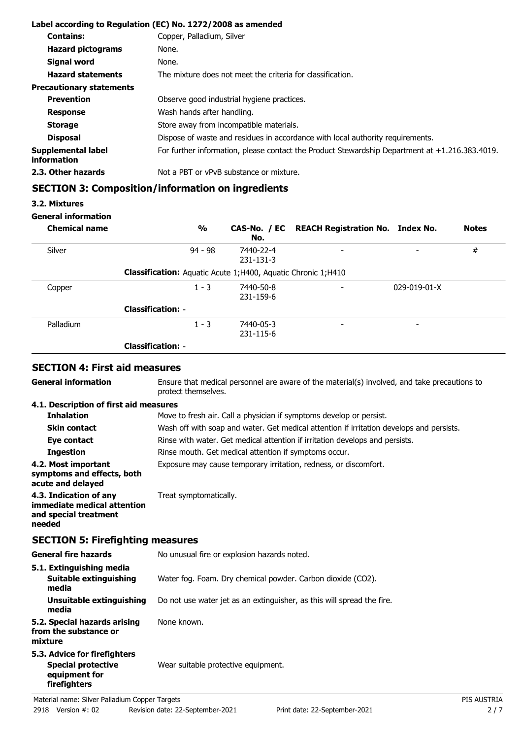|                                   | Label according to Regulation (EC) No. 1272/2008 as amended                                       |
|-----------------------------------|---------------------------------------------------------------------------------------------------|
| <b>Contains:</b>                  | Copper, Palladium, Silver                                                                         |
| <b>Hazard pictograms</b>          | None.                                                                                             |
| Signal word                       | None.                                                                                             |
| <b>Hazard statements</b>          | The mixture does not meet the criteria for classification.                                        |
| <b>Precautionary statements</b>   |                                                                                                   |
| <b>Prevention</b>                 | Observe good industrial hygiene practices.                                                        |
| <b>Response</b>                   | Wash hands after handling.                                                                        |
| <b>Storage</b>                    | Store away from incompatible materials.                                                           |
| <b>Disposal</b>                   | Dispose of waste and residues in accordance with local authority requirements.                    |
| Supplemental label<br>information | For further information, please contact the Product Stewardship Department at $+1.216.383.4019$ . |
| 2.3. Other hazards                | Not a PBT or vPvB substance or mixture.                                                           |

# **SECTION 3: Composition/information on ingredients**

# **3.2. Mixtures**

# **General information**

| <b>Chemical name</b> | $\frac{1}{2}$                                                       | No.                    | CAS-No. / EC REACH Registration No. Index No. |                          | <b>Notes</b> |
|----------------------|---------------------------------------------------------------------|------------------------|-----------------------------------------------|--------------------------|--------------|
| Silver               | $94 - 98$                                                           | 7440-22-4<br>231-131-3 | $\overline{\phantom{0}}$                      | $\overline{\phantom{0}}$ | $\#$         |
|                      | <b>Classification:</b> Aquatic Acute 1;H400, Aquatic Chronic 1;H410 |                        |                                               |                          |              |
| Copper               | $1 - 3$                                                             | 7440-50-8<br>231-159-6 | $\overline{\phantom{0}}$                      | $029 - 019 - 01 - X$     |              |
|                      | <b>Classification: -</b>                                            |                        |                                               |                          |              |
| Palladium            | $1 - 3$                                                             | 7440-05-3<br>231-115-6 | $\overline{\phantom{a}}$                      | $\overline{\phantom{0}}$ |              |
|                      | <b>Classification: -</b>                                            |                        |                                               |                          |              |

# **SECTION 4: First aid measures**

| Material name: Silver Palladium Copper Targets                                             |                                                                                                                     | PIS AUSTRIA |  |
|--------------------------------------------------------------------------------------------|---------------------------------------------------------------------------------------------------------------------|-------------|--|
| 5.3. Advice for firefighters<br><b>Special protective</b><br>equipment for<br>firefighters | Wear suitable protective equipment.                                                                                 |             |  |
| 5.2. Special hazards arising<br>from the substance or<br>mixture                           | None known.                                                                                                         |             |  |
| <b>Unsuitable extinguishing</b><br>media                                                   | Do not use water jet as an extinguisher, as this will spread the fire.                                              |             |  |
| 5.1. Extinguishing media<br><b>Suitable extinguishing</b><br>media                         | Water fog. Foam. Dry chemical powder. Carbon dioxide (CO2).                                                         |             |  |
| <b>General fire hazards</b>                                                                | No unusual fire or explosion hazards noted.                                                                         |             |  |
| <b>SECTION 5: Firefighting measures</b>                                                    |                                                                                                                     |             |  |
| 4.3. Indication of any<br>immediate medical attention<br>and special treatment<br>needed   | Treat symptomatically.                                                                                              |             |  |
| 4.2. Most important<br>symptoms and effects, both<br>acute and delayed                     | Exposure may cause temporary irritation, redness, or discomfort.                                                    |             |  |
| <b>Ingestion</b>                                                                           | Rinse mouth. Get medical attention if symptoms occur.                                                               |             |  |
| Eye contact                                                                                | Rinse with water. Get medical attention if irritation develops and persists.                                        |             |  |
| <b>Skin contact</b>                                                                        | Wash off with soap and water. Get medical attention if irritation develops and persists.                            |             |  |
| 4.1. Description of first aid measures<br><b>Inhalation</b>                                | Move to fresh air. Call a physician if symptoms develop or persist.                                                 |             |  |
| <b>General information</b>                                                                 | Ensure that medical personnel are aware of the material(s) involved, and take precautions to<br>protect themselves. |             |  |
|                                                                                            |                                                                                                                     |             |  |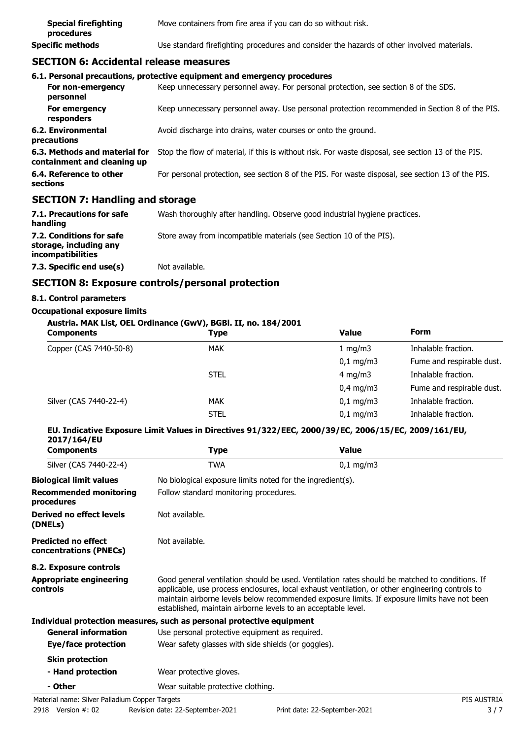| <b>Special firefighting</b><br>procedures | Move containers from fire area if you can do so without risk.                              |
|-------------------------------------------|--------------------------------------------------------------------------------------------|
| Specific methods                          | Use standard firefighting procedures and consider the hazards of other involved materials. |

# **SECTION 6: Accidental release measures**

|                                                              | 6.1. Personal precautions, protective equipment and emergency procedures                           |
|--------------------------------------------------------------|----------------------------------------------------------------------------------------------------|
| For non-emergency<br>personnel                               | Keep unnecessary personnel away. For personal protection, see section 8 of the SDS.                |
| For emergency<br>responders                                  | Keep unnecessary personnel away. Use personal protection recommended in Section 8 of the PIS.      |
| 6.2. Environmental<br>precautions                            | Avoid discharge into drains, water courses or onto the ground.                                     |
| 6.3. Methods and material for<br>containment and cleaning up | Stop the flow of material, if this is without risk. For waste disposal, see section 13 of the PIS. |
| 6.4. Reference to other<br>sections                          | For personal protection, see section 8 of the PIS. For waste disposal, see section 13 of the PIS.  |
| CECTION 7: Handling and storage                              |                                                                                                    |

#### **SECTION 7: Handling and storage**

| 7.1. Precautions for safe<br>handling                                   | Wash thoroughly after handling. Observe good industrial hygiene practices. |
|-------------------------------------------------------------------------|----------------------------------------------------------------------------|
| 7.2. Conditions for safe<br>storage, including any<br>incompatibilities | Store away from incompatible materials (see Section 10 of the PIS).        |
| 7.3. Specific end use(s)                                                | Not available.                                                             |

# **SECTION 8: Exposure controls/personal protection**

### **8.1. Control parameters**

#### **Occupational exposure limits**

| Austria. MAK List, OEL Ordinance (GwV), BGBI. II, no. 184/2001 |             |                         |                           |
|----------------------------------------------------------------|-------------|-------------------------|---------------------------|
| <b>Components</b>                                              | <b>Type</b> | Value                   | Form                      |
| Copper (CAS 7440-50-8)                                         | <b>MAK</b>  | 1 mg/m $3$              | Inhalable fraction.       |
|                                                                |             | $0,1$ mg/m3             | Fume and respirable dust. |
|                                                                | <b>STEL</b> | $4 \text{ mg/m}$        | Inhalable fraction.       |
|                                                                |             | $0.4 \text{ mg/m}$      | Fume and respirable dust. |
| Silver (CAS 7440-22-4)                                         | <b>MAK</b>  | $0.1 \,\mathrm{mq/m}$ 3 | Inhalable fraction.       |
|                                                                | <b>STEL</b> | $0.1 \,\mathrm{mq/m}$   | Inhalable fraction.       |

# **EU. Indicative Exposure Limit Values in Directives 91/322/EEC, 2000/39/EC, 2006/15/EC, 2009/161/EU, 2017/164/EU**

| <b>Components</b>                                    | Type                                                                  | <b>Value</b>                                                                                                                                                                                                                                                                                      |  |  |
|------------------------------------------------------|-----------------------------------------------------------------------|---------------------------------------------------------------------------------------------------------------------------------------------------------------------------------------------------------------------------------------------------------------------------------------------------|--|--|
| Silver (CAS 7440-22-4)                               | <b>TWA</b>                                                            | $0,1$ mg/m3                                                                                                                                                                                                                                                                                       |  |  |
| <b>Biological limit values</b>                       | No biological exposure limits noted for the ingredient(s).            |                                                                                                                                                                                                                                                                                                   |  |  |
| <b>Recommended monitoring</b><br>procedures          |                                                                       | Follow standard monitoring procedures.                                                                                                                                                                                                                                                            |  |  |
| Derived no effect levels<br>(DNELs)                  | Not available.                                                        |                                                                                                                                                                                                                                                                                                   |  |  |
| <b>Predicted no effect</b><br>concentrations (PNECs) | Not available.                                                        |                                                                                                                                                                                                                                                                                                   |  |  |
| 8.2. Exposure controls                               |                                                                       |                                                                                                                                                                                                                                                                                                   |  |  |
| <b>Appropriate engineering</b><br><b>controls</b>    | established, maintain airborne levels to an acceptable level.         | Good general ventilation should be used. Ventilation rates should be matched to conditions. If<br>applicable, use process enclosures, local exhaust ventilation, or other engineering controls to<br>maintain airborne levels below recommended exposure limits. If exposure limits have not been |  |  |
|                                                      | Individual protection measures, such as personal protective equipment |                                                                                                                                                                                                                                                                                                   |  |  |
| <b>General information</b>                           | Use personal protective equipment as required.                        |                                                                                                                                                                                                                                                                                                   |  |  |
| Eye/face protection                                  | Wear safety glasses with side shields (or goggles).                   |                                                                                                                                                                                                                                                                                                   |  |  |
| <b>Skin protection</b>                               |                                                                       |                                                                                                                                                                                                                                                                                                   |  |  |
| - Hand protection                                    | Wear protective gloves.                                               |                                                                                                                                                                                                                                                                                                   |  |  |
| - Other                                              | Wear suitable protective clothing.                                    |                                                                                                                                                                                                                                                                                                   |  |  |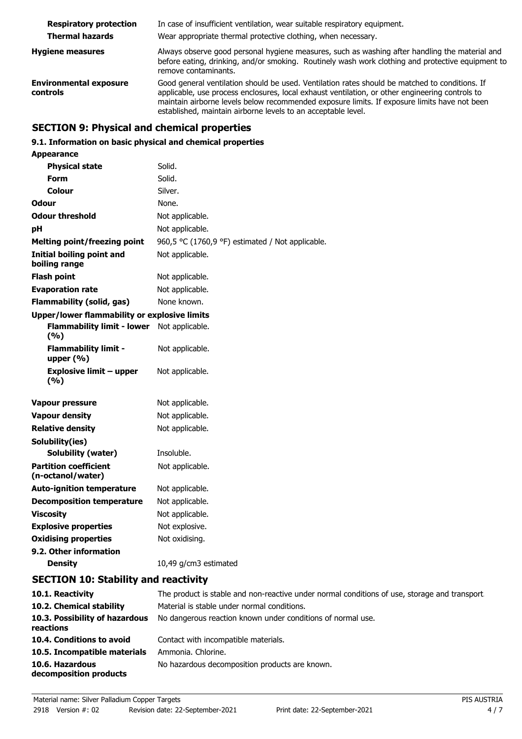| <b>Respiratory protection</b>             | In case of insufficient ventilation, wear suitable respiratory equipment.                                                                                                                                                                                                                                                                                          |  |
|-------------------------------------------|--------------------------------------------------------------------------------------------------------------------------------------------------------------------------------------------------------------------------------------------------------------------------------------------------------------------------------------------------------------------|--|
| <b>Thermal hazards</b>                    | Wear appropriate thermal protective clothing, when necessary.                                                                                                                                                                                                                                                                                                      |  |
| <b>Hygiene measures</b>                   | Always observe good personal hygiene measures, such as washing after handling the material and<br>before eating, drinking, and/or smoking. Routinely wash work clothing and protective equipment to<br>remove contaminants.                                                                                                                                        |  |
| <b>Environmental exposure</b><br>controls | Good general ventilation should be used. Ventilation rates should be matched to conditions. If<br>applicable, use process enclosures, local exhaust ventilation, or other engineering controls to<br>maintain airborne levels below recommended exposure limits. If exposure limits have not been<br>established, maintain airborne levels to an acceptable level. |  |

# **SECTION 9: Physical and chemical properties**

# **9.1. Information on basic physical and chemical properties**

| Appearance                                          |                                                  |  |  |
|-----------------------------------------------------|--------------------------------------------------|--|--|
| <b>Physical state</b>                               | Solid.                                           |  |  |
| Form                                                | Solid.                                           |  |  |
| Colour                                              | Silver.                                          |  |  |
| Odour                                               | None.                                            |  |  |
| <b>Odour threshold</b>                              | Not applicable.                                  |  |  |
| pH                                                  | Not applicable.                                  |  |  |
| <b>Melting point/freezing point</b>                 | 960,5 °C (1760,9 °F) estimated / Not applicable. |  |  |
| Initial boiling point and<br>boiling range          | Not applicable.                                  |  |  |
| <b>Flash point</b>                                  | Not applicable.                                  |  |  |
| <b>Evaporation rate</b>                             | Not applicable.                                  |  |  |
| <b>Flammability (solid, gas)</b>                    | None known.                                      |  |  |
| <b>Upper/lower flammability or explosive limits</b> |                                                  |  |  |
| <b>Flammability limit - lower</b><br>(9/6)          | Not applicable.                                  |  |  |
| <b>Flammability limit -</b><br>upper $(% )$         | Not applicable.                                  |  |  |
| <b>Explosive limit - upper</b><br>(9/6)             | Not applicable.                                  |  |  |
| <b>Vapour pressure</b>                              | Not applicable.                                  |  |  |
| <b>Vapour density</b>                               | Not applicable.                                  |  |  |
| <b>Relative density</b>                             | Not applicable.                                  |  |  |
| Solubility(ies)                                     |                                                  |  |  |
| <b>Solubility (water)</b>                           | Insoluble.                                       |  |  |
| <b>Partition coefficient</b><br>(n-octanol/water)   | Not applicable.                                  |  |  |
| <b>Auto-ignition temperature</b>                    | Not applicable.                                  |  |  |
| <b>Decomposition temperature</b>                    | Not applicable.                                  |  |  |
| <b>Viscosity</b>                                    | Not applicable.                                  |  |  |
| <b>Explosive properties</b>                         | Not explosive.                                   |  |  |
| <b>Oxidising properties</b>                         | Not oxidising.                                   |  |  |
| 9.2. Other information                              |                                                  |  |  |
| <b>Density</b>                                      | 10,49 g/cm3 estimated                            |  |  |

# **SECTION 10: Stability and reactivity**

| 10.1. Reactivity                            | The product is stable and non-reactive under normal conditions of use, storage and transport. |
|---------------------------------------------|-----------------------------------------------------------------------------------------------|
| 10.2. Chemical stability                    | Material is stable under normal conditions.                                                   |
| 10.3. Possibility of hazardous<br>reactions | No dangerous reaction known under conditions of normal use.                                   |
| 10.4. Conditions to avoid                   | Contact with incompatible materials.                                                          |
| 10.5. Incompatible materials                | Ammonia. Chlorine.                                                                            |
| 10.6. Hazardous<br>decomposition products   | No hazardous decomposition products are known.                                                |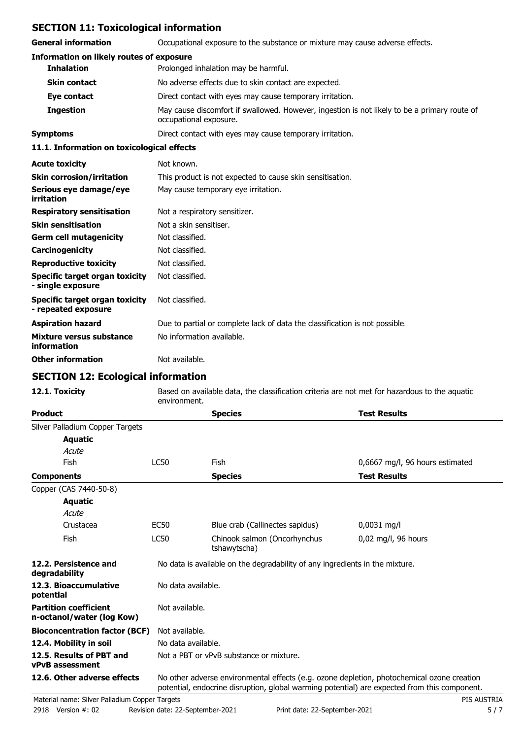# **SECTION 11: Toxicological information**

**General information C**Ccupational exposure to the substance or mixture may cause adverse effects.

| <b>General information</b>                                   | Occupational exposure to the substance or mixture may cause adverse effects.                                           |  |
|--------------------------------------------------------------|------------------------------------------------------------------------------------------------------------------------|--|
| <b>Information on likely routes of exposure</b>              |                                                                                                                        |  |
| <b>Inhalation</b>                                            | Prolonged inhalation may be harmful.                                                                                   |  |
| <b>Skin contact</b>                                          | No adverse effects due to skin contact are expected.                                                                   |  |
| Eye contact                                                  | Direct contact with eyes may cause temporary irritation.                                                               |  |
| <b>Ingestion</b>                                             | May cause discomfort if swallowed. However, ingestion is not likely to be a primary route of<br>occupational exposure. |  |
| <b>Symptoms</b>                                              | Direct contact with eyes may cause temporary irritation.                                                               |  |
| 11.1. Information on toxicological effects                   |                                                                                                                        |  |
| <b>Acute toxicity</b>                                        | Not known.                                                                                                             |  |
| <b>Skin corrosion/irritation</b>                             | This product is not expected to cause skin sensitisation.                                                              |  |
| Serious eye damage/eye<br>irritation                         | May cause temporary eye irritation.                                                                                    |  |
| <b>Respiratory sensitisation</b>                             | Not a respiratory sensitizer.                                                                                          |  |
| <b>Skin sensitisation</b>                                    | Not a skin sensitiser.                                                                                                 |  |
| <b>Germ cell mutagenicity</b>                                | Not classified.                                                                                                        |  |
| Carcinogenicity                                              | Not classified.                                                                                                        |  |
| <b>Reproductive toxicity</b>                                 | Not classified.                                                                                                        |  |
| Specific target organ toxicity<br>- single exposure          | Not classified.                                                                                                        |  |
| <b>Specific target organ toxicity</b><br>- repeated exposure | Not classified.                                                                                                        |  |
| <b>Aspiration hazard</b>                                     | Due to partial or complete lack of data the classification is not possible.                                            |  |
| Mixture versus substance<br>information                      | No information available.                                                                                              |  |
| <b>Other information</b>                                     | Not available.                                                                                                         |  |

# **SECTION 12: Ecological information**

| 12.1. Toxicity                                            | Based on available data, the classification criteria are not met for hazardous to the aguatic<br>environment.                                                                              |                                                                              |                                 |  |
|-----------------------------------------------------------|--------------------------------------------------------------------------------------------------------------------------------------------------------------------------------------------|------------------------------------------------------------------------------|---------------------------------|--|
| <b>Product</b>                                            |                                                                                                                                                                                            | <b>Species</b>                                                               | <b>Test Results</b>             |  |
| Silver Palladium Copper Targets                           |                                                                                                                                                                                            |                                                                              |                                 |  |
| <b>Aquatic</b>                                            |                                                                                                                                                                                            |                                                                              |                                 |  |
| Acute                                                     |                                                                                                                                                                                            |                                                                              |                                 |  |
| Fish                                                      | LC50                                                                                                                                                                                       | Fish                                                                         | 0,6667 mg/l, 96 hours estimated |  |
| <b>Components</b>                                         |                                                                                                                                                                                            | <b>Species</b>                                                               | <b>Test Results</b>             |  |
| Copper (CAS 7440-50-8)                                    |                                                                                                                                                                                            |                                                                              |                                 |  |
| <b>Aquatic</b>                                            |                                                                                                                                                                                            |                                                                              |                                 |  |
| Acute                                                     |                                                                                                                                                                                            |                                                                              |                                 |  |
| Crustacea                                                 | <b>EC50</b>                                                                                                                                                                                | Blue crab (Callinectes sapidus)                                              | $0,0031$ mg/l                   |  |
| <b>Fish</b>                                               | LC50                                                                                                                                                                                       | Chinook salmon (Oncorhynchus<br>tshawytscha)                                 | 0,02 mg/l, 96 hours             |  |
| 12.2. Persistence and<br>degradability                    |                                                                                                                                                                                            | No data is available on the degradability of any ingredients in the mixture. |                                 |  |
| 12.3. Bioaccumulative<br>potential                        | No data available.                                                                                                                                                                         |                                                                              |                                 |  |
| <b>Partition coefficient</b><br>n-octanol/water (log Kow) | Not available.                                                                                                                                                                             |                                                                              |                                 |  |
| <b>Bioconcentration factor (BCF)</b>                      | Not available.                                                                                                                                                                             |                                                                              |                                 |  |
| 12.4. Mobility in soil                                    | No data available.                                                                                                                                                                         |                                                                              |                                 |  |
| 12.5. Results of PBT and<br>vPvB assessment               | Not a PBT or vPvB substance or mixture.                                                                                                                                                    |                                                                              |                                 |  |
| 12.6. Other adverse effects                               | No other adverse environmental effects (e.g. ozone depletion, photochemical ozone creation<br>potential, endocrine disruption, global warming potential) are expected from this component. |                                                                              |                                 |  |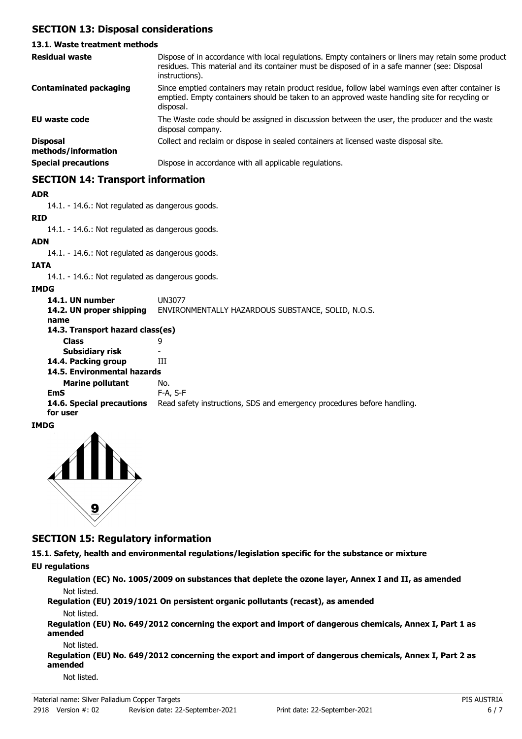# **SECTION 13: Disposal considerations**

## **13.1. Waste treatment methods**

| <b>Residual waste</b>                  | Dispose of in accordance with local regulations. Empty containers or liners may retain some product<br>residues. This material and its container must be disposed of in a safe manner (see: Disposal<br>instructions). |
|----------------------------------------|------------------------------------------------------------------------------------------------------------------------------------------------------------------------------------------------------------------------|
| <b>Contaminated packaging</b>          | Since emptied containers may retain product residue, follow label warnings even after container is<br>emptied. Empty containers should be taken to an approved waste handling site for recycling or<br>disposal.       |
| <b>EU waste code</b>                   | The Waste code should be assigned in discussion between the user, the producer and the waste<br>disposal company.                                                                                                      |
| <b>Disposal</b><br>methods/information | Collect and reclaim or dispose in sealed containers at licensed waste disposal site.                                                                                                                                   |
| <b>Special precautions</b>             | Dispose in accordance with all applicable regulations.                                                                                                                                                                 |

# **SECTION 14: Transport information**

#### **ADR**

14.1. - 14.6.: Not regulated as dangerous goods.

# **RID**

14.1. - 14.6.: Not regulated as dangerous goods.

**ADN**

14.1. - 14.6.: Not regulated as dangerous goods.

### **IATA**

14.1. - 14.6.: Not regulated as dangerous goods.

#### **IMDG**

| 14.1. UN number<br>14.2. UN proper shipping | UN3077<br>ENVIRONMENTALLY HAZARDOUS SUBSTANCE, SOLID, N.O.S.            |  |  |
|---------------------------------------------|-------------------------------------------------------------------------|--|--|
| name                                        |                                                                         |  |  |
| 14.3. Transport hazard class(es)            |                                                                         |  |  |
| <b>Class</b>                                | 9                                                                       |  |  |
| Subsidiary risk                             |                                                                         |  |  |
| 14.4. Packing group                         | ш                                                                       |  |  |
| 14.5. Environmental hazards                 |                                                                         |  |  |
| <b>Marine pollutant</b>                     | No.                                                                     |  |  |
| EmS                                         | F-A, S-F                                                                |  |  |
| 14.6. Special precautions<br>for user       | Read safety instructions, SDS and emergency procedures before handling. |  |  |
|                                             |                                                                         |  |  |

### **IMDG**



# **SECTION 15: Regulatory information**

**15.1. Safety, health and environmental regulations/legislation specific for the substance or mixture EU regulations**

**Regulation (EC) No. 1005/2009 on substances that deplete the ozone layer, Annex I and II, as amended**

Not listed.

**Regulation (EU) 2019/1021 On persistent organic pollutants (recast), as amended** Not listed.

**Regulation (EU) No. 649/2012 concerning the export and import of dangerous chemicals, Annex I, Part 1 as amended**

Not listed.

**Regulation (EU) No. 649/2012 concerning the export and import of dangerous chemicals, Annex I, Part 2 as amended**

Not listed.